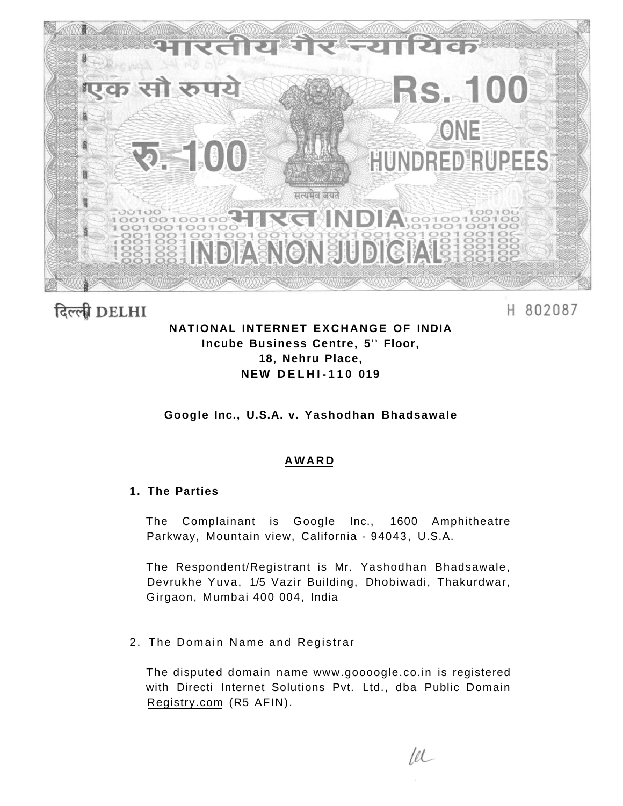

दिल्ली DELHI

H 802087

# **NATIONAL INTERNET EXCHANGE OF INDIA**  Incube Business Centre, 5<sup>\*</sup> Floor, **18, Nehru Place, NEW DELHI-11 0 019**

**Google Inc., U.S.A. v. Yashodhan Bhadsawale** 

# **AWAR D**

# **1. The Parties**

The Complainant is Google Inc., 1600 Amphitheatre Parkway, Mountain view, California - 94043, U.S.A.

The Respondent/Registrant is Mr. Yashodhan Bhadsawale, Devrukhe Yuva, 1/5 Vazir Building, Dhobiwadi, Thakurdwar, Girgaon, Mumbai 400 004, India

2. The Domain Name and Registrar

The disputed domain name [www.goooogle.co.in](http://www.goooogle.co.in) is registered with Directi Internet Solutions Pvt. Ltd., dba Public Domain [Registry.com](http://Registry.com) (R5 AFIN).

 $10<sup>1</sup>$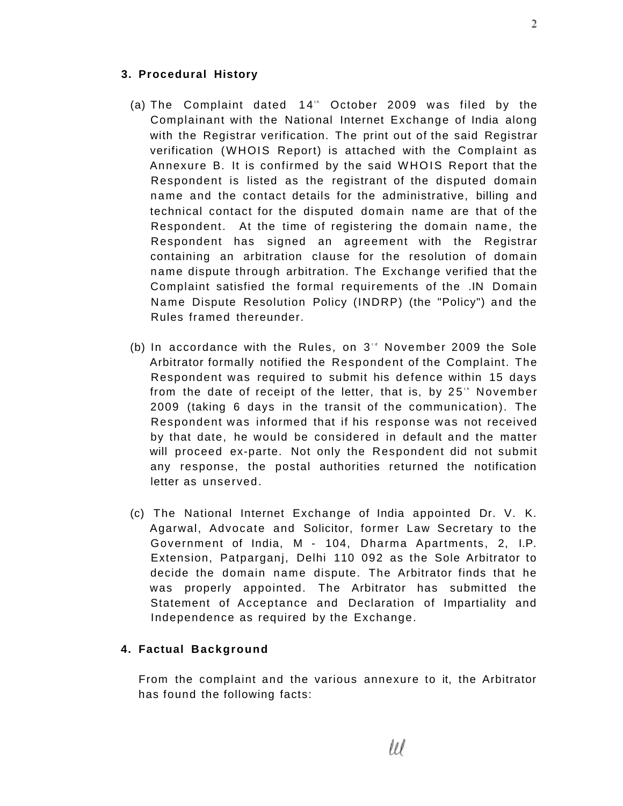- (a) The Complaint dated  $14<sup>th</sup>$  October 2009 was filed by the Complainant with the National Internet Exchange of India along with the Registrar verification. The print out of the said Registrar verification (WHOIS Report) is attached with the Complaint as Annexure B. It is confirmed by the said WHOIS Report that the Respondent is listed as the registrant of the disputed domain name and the contact details for the administrative, billing and technical contact for the disputed domain name are that of the Respondent. At the time of registering the domain name, the Respondent has signed an agreement with the Registrar containing an arbitration clause for the resolution of domain name dispute through arbitration. The Exchange verified that the Complaint satisfied the formal requirements of the .IN Domain Name Dispute Resolution Policy (INDRP) (the "Policy") and the Rules framed thereunder.
- (b) In accordance with the Rules, on  $3<sup>rd</sup>$  November 2009 the Sole Arbitrator formally notified the Respondent of the Complaint. The Respondent was required to submit his defence within 15 days from the date of receipt of the letter, that is, by 25 $^{\circ}$  November 2009 (taking 6 days in the transit of the communication). The Respondent was informed that if his response was not received by that date, he would be considered in default and the matter will proceed ex-parte. Not only the Respondent did not submit any response, the postal authorities returned the notification letter as unserved.
- (c) The National Internet Exchange of India appointed Dr. V. K. Agarwal, Advocate and Solicitor, former Law Secretary to the Government of India, M - 104, Dharma Apartments, 2, I.P. Extension, Patparganj, Delhi 110 092 as the Sole Arbitrator to decide the domain name dispute. The Arbitrator finds that he was properly appointed. The Arbitrator has submitted the Statement of Acceptance and Declaration of Impartiality and Independence as required by the Exchange.

### **4. Factual Background**

From the complaint and the various annexure to it, the Arbitrator has found the following facts: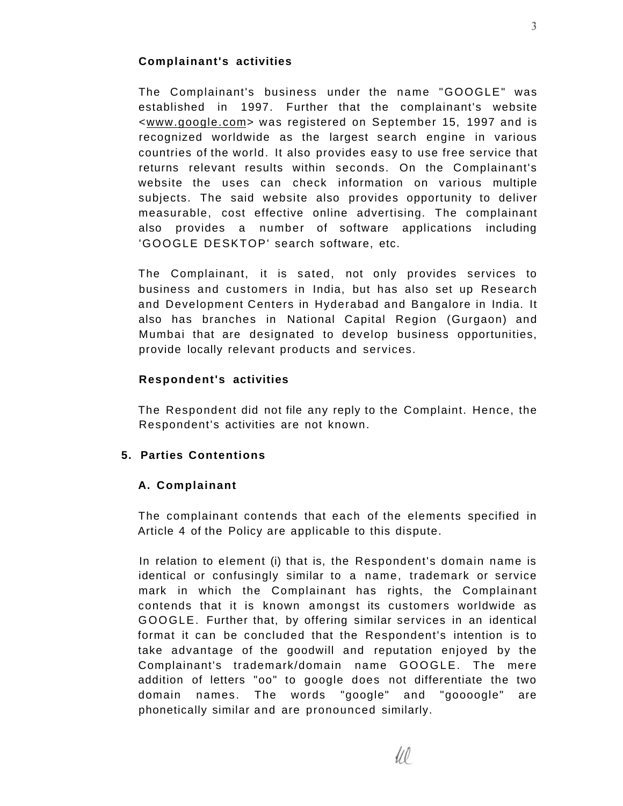The Complainant's business under the name "GOOGLE" was established in 1997. Further that the complainant's website <[www.google.com>](http://www.google.com) was registered on September 15, 1997 and is recognized worldwide as the largest search engine in various countries of the world. It also provides easy to use free service that returns relevant results within seconds. On the Complainant's website the uses can check information on various multiple subjects. The said website also provides opportunity to deliver measurable, cost effective online advertising. The complainant also provides a number of software applications including 'GOOGLE DESKTOP' search software, etc.

The Complainant, it is sated, not only provides services to business and customers in India, but has also set up Research and Development Centers in Hyderabad and Bangalore in India. It also has branches in National Capital Region (Gurgaon) and Mumbai that are designated to develop business opportunities, provide locally relevant products and services.

### **Respondent's activities**

The Respondent did not file any reply to the Complaint. Hence, the Respondent's activities are not known.

### **5. Parties Contentions**

# **A. Complainant**

The complainant contends that each of the elements specified in Article 4 of the Policy are applicable to this dispute.

In relation to element (i) that is, the Respondent's domain name is identical or confusingly similar to a name, trademark or service mark in which the Complainant has rights, the Complainant contends that it is known amongst its customers worldwide as GOOGLE. Further that, by offering similar services in an identical format it can be concluded that the Respondent's intention is to take advantage of the goodwill and reputation enjoyed by the Complainant's trademark/domain name GOOGLE. The mere addition of letters "oo" to google does not differentiate the two domain names. The words "google" and "goooogle" are phonetically similar and are pronounced similarly.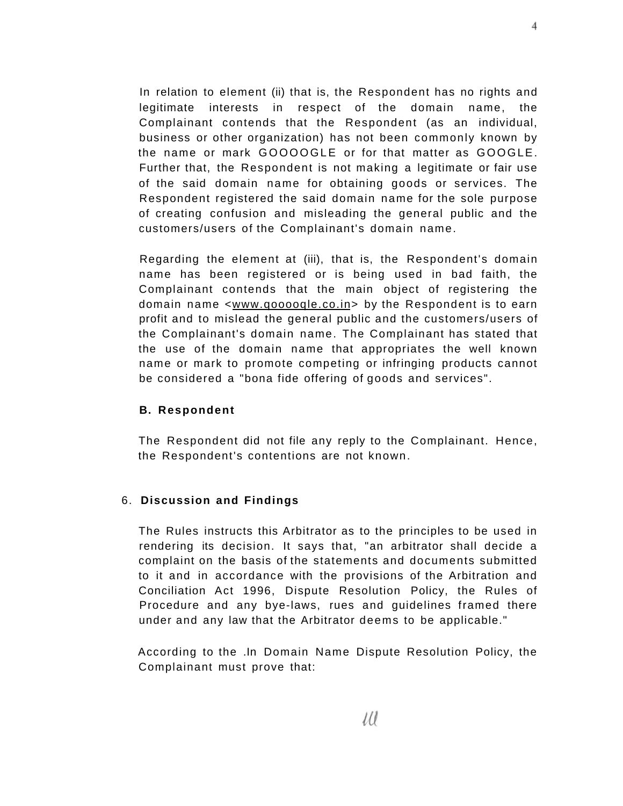In relation to element (ii) that is, the Respondent has no rights and legitimate interests in respect of the domain name, the Complainant contends that the Respondent (as an individual, business or other organization) has not been commonly known by the name or mark GOOOOGLE or for that matter as GOOGLE. Further that, the Respondent is not making a legitimate or fair use of the said domain name for obtaining goods or services. The Respondent registered the said domain name for the sole purpose of creating confusion and misleading the general public and the customers/users of the Complainant's domain name.

Regarding the element at (iii), that is, the Respondent's domain name has been registered or is being used in bad faith, the Complainant contends that the main object of registering the domain name <[www.qooooqle.co.in>](http://www.qooooqle.co.in) by the Respondent is to earn profit and to mislead the general public and the customers/users of the Complainant's domain name. The Complainant has stated that the use of the domain name that appropriates the well known name or mark to promote competing or infringing products cannot be considered a "bona fide offering of goods and services".

#### **B. Respondent**

The Respondent did not file any reply to the Complainant. Hence, the Respondent's contentions are not known.

#### 6. **Discussion and Findings**

The Rules instructs this Arbitrator as to the principles to be used in rendering its decision. It says that, "an arbitrator shall decide a complaint on the basis of the statements and documents submitted to it and in accordance with the provisions of the Arbitration and Conciliation Act 1996, Dispute Resolution Policy, the Rules of Procedure and any bye-laws, rues and guidelines framed there under and any law that the Arbitrator deems to be applicable."

According to the .In Domain Name Dispute Resolution Policy, the Complainant must prove that: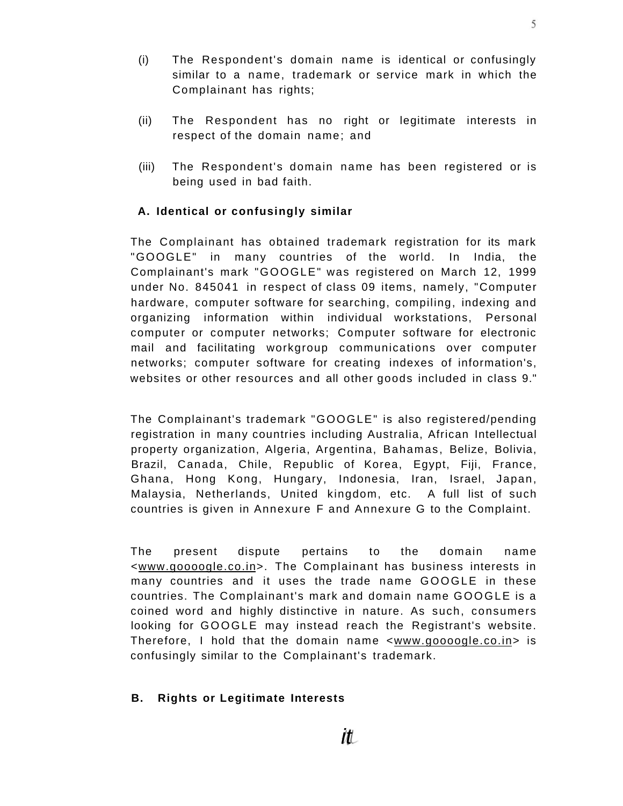- (i) The Respondent's domain name is identical or confusingly similar to a name, trademark or service mark in which the Complainant has rights;
- (ii) The Respondent has no right or legitimate interests in respect of the domain name; and
- (iii) The Respondent's domain name has been registered or is being used in bad faith.

### **A. Identical or confusingly similar**

The Complainant has obtained trademark registration for its mark "GOOGLE" in many countries of the world. In India, the Complainant's mark "GOOGLE" was registered on March 12, 1999 under No. 845041 in respect of class 09 items, namely, "Computer hardware, computer software for searching, compiling, indexing and organizing information within individual workstations, Personal computer or computer networks; Computer software for electronic mail and facilitating workgroup communications over computer networks; computer software for creating indexes of information's, websites or other resources and all other goods included in class 9."

The Complainant's trademark "GOOGLE" is also registered/pending registration in many countries including Australia, African Intellectual property organization, Algeria, Argentina, Bahamas, Belize, Bolivia, Brazil, Canada, Chile, Republic of Korea, Egypt, Fiji, France, Ghana, Hong Kong, Hungary, Indonesia, Iran, Israel, Japan, Malaysia, Netherlands, United kingdom, etc. A full list of such countries is given in Annexure F and Annexure G to the Complaint.

The present dispute pertains to the domain name <[www.goooogle.co.in>](http://www.goooogle.co.in). The Complainant has business interests in many countries and it uses the trade name GOOGLE in these countries. The Complainant's mark and domain name GOOGLE is a coined word and highly distinctive in nature. As such, consumers looking for GOOGLE may instead reach the Registrant's website. Therefore, I hold that the domain name <[www.goooogle.co.in>](http://www.goooogle.co.in) is confusingly similar to the Complainant's trademark.

# **B. Rights or Legitimate Interests**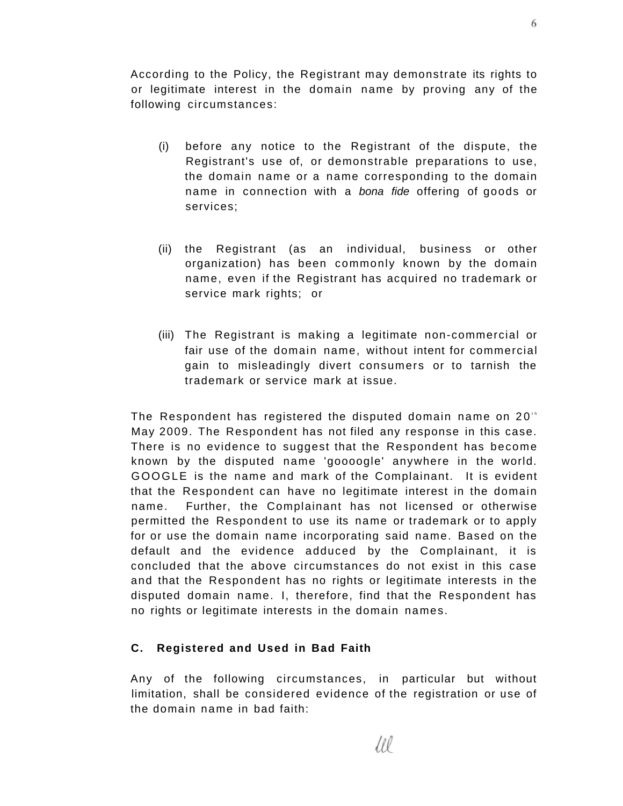According to the Policy, the Registrant may demonstrate its rights to or legitimate interest in the domain name by proving any of the following circumstances:

- (i) before any notice to the Registrant of the dispute, the Registrant's use of, or demonstrable preparations to use, the domain name or a name corresponding to the domain name in connection with a bona fide offering of goods or services;
- (ii) the Registrant (as an individual, business or other organization) has been commonly known by the domain name, even if the Registrant has acquired no trademark or service mark rights; or
- (iii) The Registrant is making a legitimate non-commercial or fair use of the domain name, without intent for commercial gain to misleadingly divert consumers or to tarnish the trademark or service mark at issue.

The Respondent has registered the disputed domain name on  $20<sup>th</sup>$ May 2009. The Respondent has not filed any response in this case. There is no evidence to suggest that the Respondent has become known by the disputed name 'goooogle' anywhere in the world. GOOGLE is the name and mark of the Complainant. It is evident that the Respondent can have no legitimate interest in the domain name. Further, the Complainant has not licensed or otherwise permitted the Respondent to use its name or trademark or to apply for or use the domain name incorporating said name. Based on the default and the evidence adduced by the Complainant, it is concluded that the above circumstances do not exist in this case and that the Respondent has no rights or legitimate interests in the disputed domain name. I, therefore, find that the Respondent has no rights or legitimate interests in the domain names.

# **C. Registered and Used in Bad Faith**

Any of the following circumstances, in particular but without limitation, shall be considered evidence of the registration or use of the domain name in bad faith: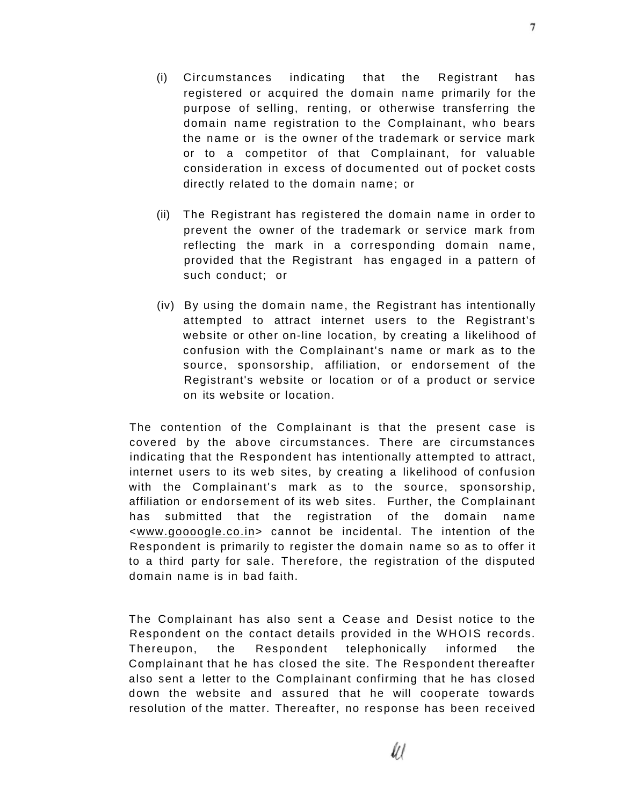- (i) Circumstances indicating that the Registrant has registered or acquired the domain name primarily for the purpose of selling, renting, or otherwise transferring the domain name registration to the Complainant, who bears the name or is the owner of the trademark or service mark or to a competitor of that Complainant, for valuable consideration in excess of documented out of pocket costs
- (ii) The Registrant has registered the domain name in order to prevent the owner of the trademark or service mark from reflecting the mark in a corresponding domain name, provided that the Registrant has engaged in a pattern of such conduct; or

directly related to the domain name; or

(iv) By using the domain name, the Registrant has intentionally attempted to attract internet users to the Registrant's website or other on-line location, by creating a likelihood of confusion with the Complainant's name or mark as to the source, sponsorship, affiliation, or endorsement of the Registrant's website or location or of a product or service on its website or location.

The contention of the Complainant is that the present case is covered by the above circumstances. There are circumstances indicating that the Respondent has intentionally attempted to attract, internet users to its web sites, by creating a likelihood of confusion with the Complainant's mark as to the source, sponsorship, affiliation or endorsement of its web sites. Further, the Complainant has submitted that the registration of the domain name <[www.goooogle.co.in>](http://www.goooogle.co.in) cannot be incidental. The intention of the Respondent is primarily to register the domain name so as to offer it to a third party for sale. Therefore, the registration of the disputed domain name is in bad faith.

The Complainant has also sent a Cease and Desist notice to the Respondent on the contact details provided in the WHOIS records. Thereupon, the Respondent telephonically informed the Complainant that he has closed the site. The Respondent thereafter also sent a letter to the Complainant confirming that he has closed down the website and assured that he will cooperate towards resolution of the matter. Thereafter, no response has been received